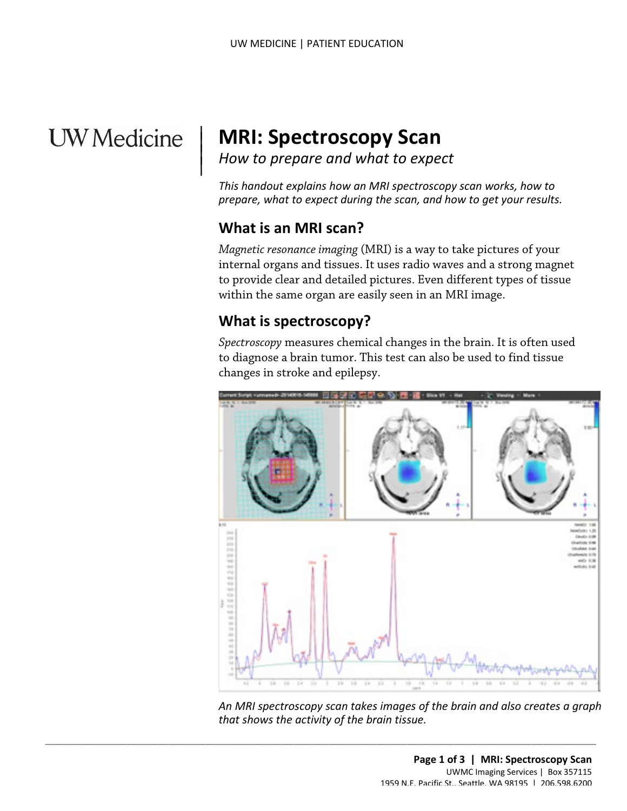# **UW** Medicine

 $\overline{\phantom{a}}$ 

## <sup>|</sup>**MRI: Spectroscopy Scan** | *How to prepare and what to expect* <sup>|</sup>

How to prepare and what to expect

*This handout explains how an MRI spectroscopy scan works, how to prepare, what to expect during the scan, and how to get your results.* 

## **What is an MRI scan?**

 within the same organ are easily seen in an MRI image. *Magnetic resonance imaging* (MRI) is a way to take pictures of your internal organs and tissues. It uses radio waves and a strong magnet to provide clear and detailed pictures. Even different types of tissue

## **What is spectroscopy?**

*Spectroscopy* measures chemical changes in the brain. It is often used to diagnose a brain tumor. This test can also be used to find tissue changes in stroke and epilepsy.



*An MRI spectroscopy scan takes images of the brain and also creates a graph that shows the activity of the brain tissue.* 

 $\_$  , and the set of the set of the set of the set of the set of the set of the set of the set of the set of the set of the set of the set of the set of the set of the set of the set of the set of the set of the set of th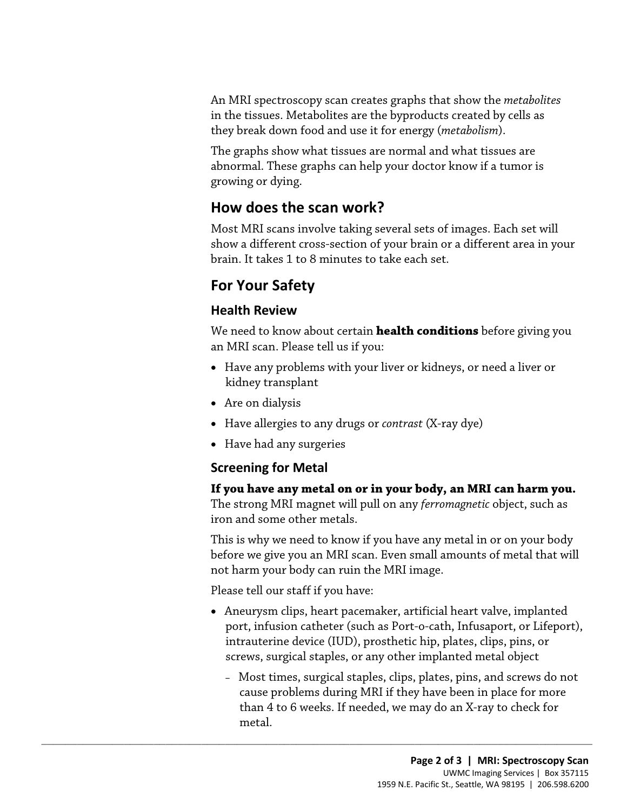An MRI spectroscopy scan creates graphs that show the *metabolites*  in the tissues. Metabolites are the byproducts created by cells as they break down food and use it for energy (*metabolism*).

The graphs show what tissues are normal and what tissues are abnormal. These graphs can help your doctor know if a tumor is growing or dying.

## **How does the scan work?**

 brain. It takes 1 to 8 minutes to take each set. Most MRI scans involve taking several sets of images. Each set will show a different cross-section of your brain or a different area in your

## **For Your Safety**

#### **Health Review**

We need to know about certain **health conditions** before giving you an MRI scan. Please tell us if you:

- Have any problems with your liver or kidneys, or need a liver or kidney transplant
- Are on dialysis
- Have allergies to any drugs or *contrast* (X-ray dye)
- Have had any surgeries

#### **Screening for Metal**

#### **If you have any metal on or in your body, an MRI can harm you.**

The strong MRI magnet will pull on any *ferromagnetic* object, such as iron and some other metals.

This is why we need to know if you have any metal in or on your body before we give you an MRI scan. Even small amounts of metal that will not harm your body can ruin the MRI image.

Please tell our staff if you have:

 $\_$  ,  $\_$  ,  $\_$  ,  $\_$  ,  $\_$  ,  $\_$  ,  $\_$  ,  $\_$  ,  $\_$  ,  $\_$  ,  $\_$  ,  $\_$  ,  $\_$  ,  $\_$  ,  $\_$  ,  $\_$  ,  $\_$  ,  $\_$  ,  $\_$  ,  $\_$  ,  $\_$  ,  $\_$  ,  $\_$  ,  $\_$  ,  $\_$  ,  $\_$  ,  $\_$  ,  $\_$  ,  $\_$  ,  $\_$  ,  $\_$  ,  $\_$  ,  $\_$  ,  $\_$  ,  $\_$  ,  $\_$  ,  $\_$  ,

- Aneurysm clips, heart pacemaker, artificial heart valve, implanted port, infusion catheter (such as Port-o-cath, Infusaport, or Lifeport), intrauterine device (IUD), prosthetic hip, plates, clips, pins, or screws, surgical staples, or any other implanted metal object
	- Most times, surgical staples, clips, plates, pins, and screws do not cause problems during MRI if they have been in place for more than 4 to 6 weeks. If needed, we may do an X-ray to check for metal.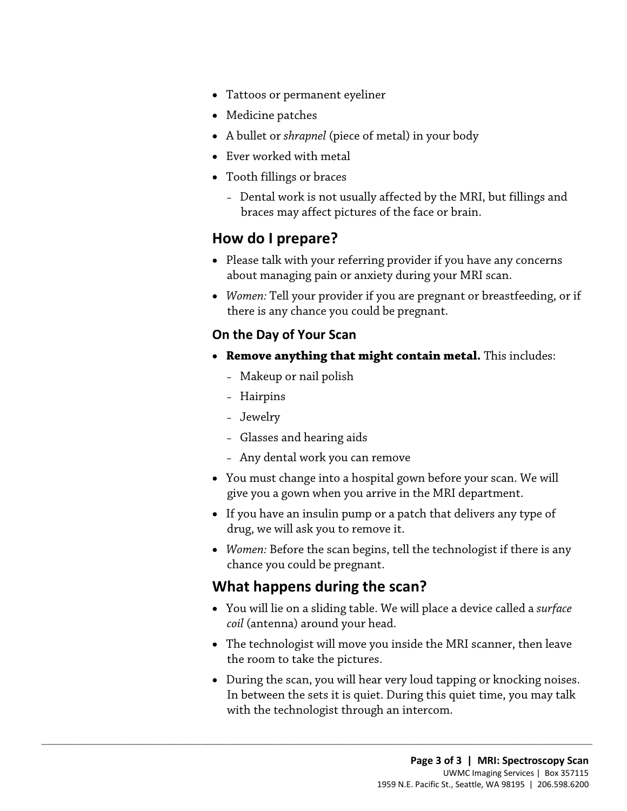- Tattoos or permanent eyeliner
- Medicine patches
- A bullet or *shrapnel* (piece of metal) in your body
- Ever worked with metal
- Tooth fillings or braces
	- Dental work is not usually affected by the MRI, but fillings and braces may affect pictures of the face or brain.

## **How do I prepare?**

- Please talk with your referring provider if you have any concerns about managing pain or anxiety during your MRI scan.
- *Women:* Tell your provider if you are pregnant or breastfeeding, or if there is any chance you could be pregnant.

#### **On the Day of Your Scan**

- • **Remove anything that might contain metal.** This includes:
	- Makeup or nail polish
	- Hairpins
	- Jewelry
	- Glasses and hearing aids
	- Any dental work you can remove
- You must change into a hospital gown before your scan. We will give you a gown when you arrive in the MRI department.
- If you have an insulin pump or a patch that delivers any type of drug, we will ask you to remove it.
- *Women:* Before the scan begins, tell the technologist if there is any chance you could be pregnant.

## **What happens during the scan?**

 $\_$  ,  $\_$  ,  $\_$  ,  $\_$  ,  $\_$  ,  $\_$  ,  $\_$  ,  $\_$  ,  $\_$  ,  $\_$  ,  $\_$  ,  $\_$  ,  $\_$  ,  $\_$  ,  $\_$  ,  $\_$  ,  $\_$  ,  $\_$  ,  $\_$  ,  $\_$  ,  $\_$  ,  $\_$  ,  $\_$  ,  $\_$  ,  $\_$  ,  $\_$  ,  $\_$  ,  $\_$  ,  $\_$  ,  $\_$  ,  $\_$  ,  $\_$  ,  $\_$  ,  $\_$  ,  $\_$  ,  $\_$  ,  $\_$  ,

- You will lie on a sliding table. We will place a device called a *surface coil* (antenna) around your head.
- The technologist will move you inside the MRI scanner, then leave the room to take the pictures.
- In between the sets it is quiet. During this quiet time, you may talk • During the scan, you will hear very loud tapping or knocking noises. with the technologist through an intercom.